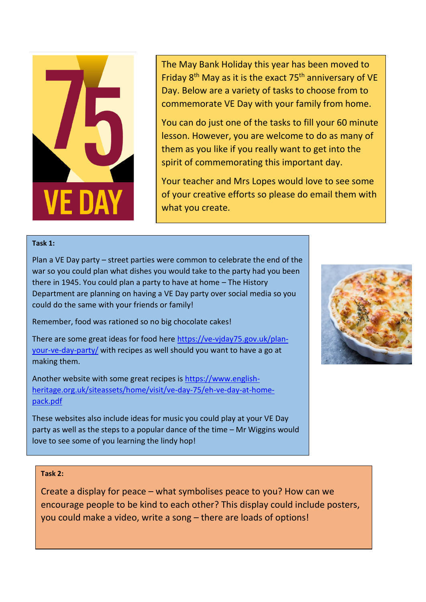

The May Bank Holiday this year has been moved to Friday  $8<sup>th</sup>$  May as it is the exact 75<sup>th</sup> anniversary of VE Day. Below are a variety of tasks to choose from to commemorate VE Day with your family from home.

You can do just one of the tasks to fill your 60 minute lesson. However, you are welcome to do as many of them as you like if you really want to get into the spirit of commemorating this important day.

Your teacher and Mrs Lopes would love to see some of your creative efforts so please do email them with what you create.

## **Task 1:**

Plan a VE Day party – street parties were common to celebrate the end of the war so you could plan what dishes you would take to the party had you been there in 1945. You could plan a party to have at home – The History Department are planning on having a VE Day party over social media so you could do the same with your friends or family!

Remember, food was rationed so no big chocolate cakes!

There are some great ideas for food here [https://ve-vjday75.gov.uk/plan](https://ve-vjday75.gov.uk/plan-your-ve-day-party/)[your-ve-day-party/](https://ve-vjday75.gov.uk/plan-your-ve-day-party/) with recipes as well should you want to have a go at making them.

Another website with some great recipes is [https://www.english](https://www.english-heritage.org.uk/siteassets/home/visit/ve-day-75/eh-ve-day-at-home-pack.pdf)[heritage.org.uk/siteassets/home/visit/ve-day-75/eh-ve-day-at-home](https://www.english-heritage.org.uk/siteassets/home/visit/ve-day-75/eh-ve-day-at-home-pack.pdf)[pack.pdf](https://www.english-heritage.org.uk/siteassets/home/visit/ve-day-75/eh-ve-day-at-home-pack.pdf) 

These websites also include ideas for music you could play at your VE Day party as well as the steps to a popular dance of the time – Mr Wiggins would love to see some of you learning the lindy hop!

## **Task 2:**

Create a display for peace – what symbolises peace to you? How can we encourage people to be kind to each other? This display could include posters, you could make a video, write a song – there are loads of options!